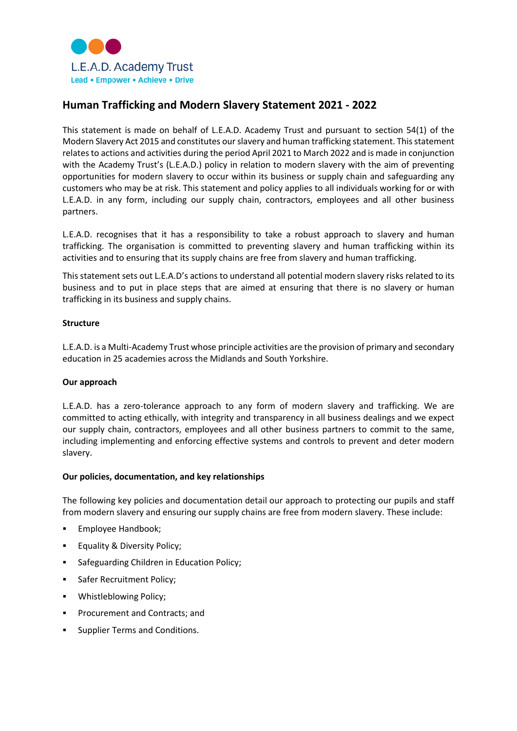

# **Human Trafficking and Modern Slavery Statement 2021 - 2022**

This statement is made on behalf of L.E.A.D. Academy Trust and pursuant to section 54(1) of the Modern Slavery Act 2015 and constitutes our slavery and human trafficking statement. This statement relates to actions and activities during the period April 2021 to March 2022 and is made in conjunction with the Academy Trust's (L.E.A.D.) policy in relation to modern slavery with the aim of preventing opportunities for modern slavery to occur within its business or supply chain and safeguarding any customers who may be at risk. This statement and policy applies to all individuals working for or with L.E.A.D. in any form, including our supply chain, contractors, employees and all other business partners.

L.E.A.D. recognises that it has a responsibility to take a robust approach to slavery and human trafficking. The organisation is committed to preventing slavery and human trafficking within its activities and to ensuring that its supply chains are free from slavery and human trafficking.

This statement sets out L.E.A.D's actions to understand all potential modern slavery risks related to its business and to put in place steps that are aimed at ensuring that there is no slavery or human trafficking in its business and supply chains.

## **Structure**

L.E.A.D. is a Multi-Academy Trust whose principle activities are the provision of primary and secondary education in 25 academies across the Midlands and South Yorkshire.

## **Our approach**

L.E.A.D. has a zero-tolerance approach to any form of modern slavery and trafficking. We are committed to acting ethically, with integrity and transparency in all business dealings and we expect our supply chain, contractors, employees and all other business partners to commit to the same, including implementing and enforcing effective systems and controls to prevent and deter modern slavery.

## **Our policies, documentation, and key relationships**

The following key policies and documentation detail our approach to protecting our pupils and staff from modern slavery and ensuring our supply chains are free from modern slavery. These include:

- Employee Handbook;
- Equality & Diversity Policy;
- **Safeguarding Children in Education Policy;**
- **Safer Recruitment Policy;**
- **•** Whistleblowing Policy;
- Procurement and Contracts; and
- **Supplier Terms and Conditions.**